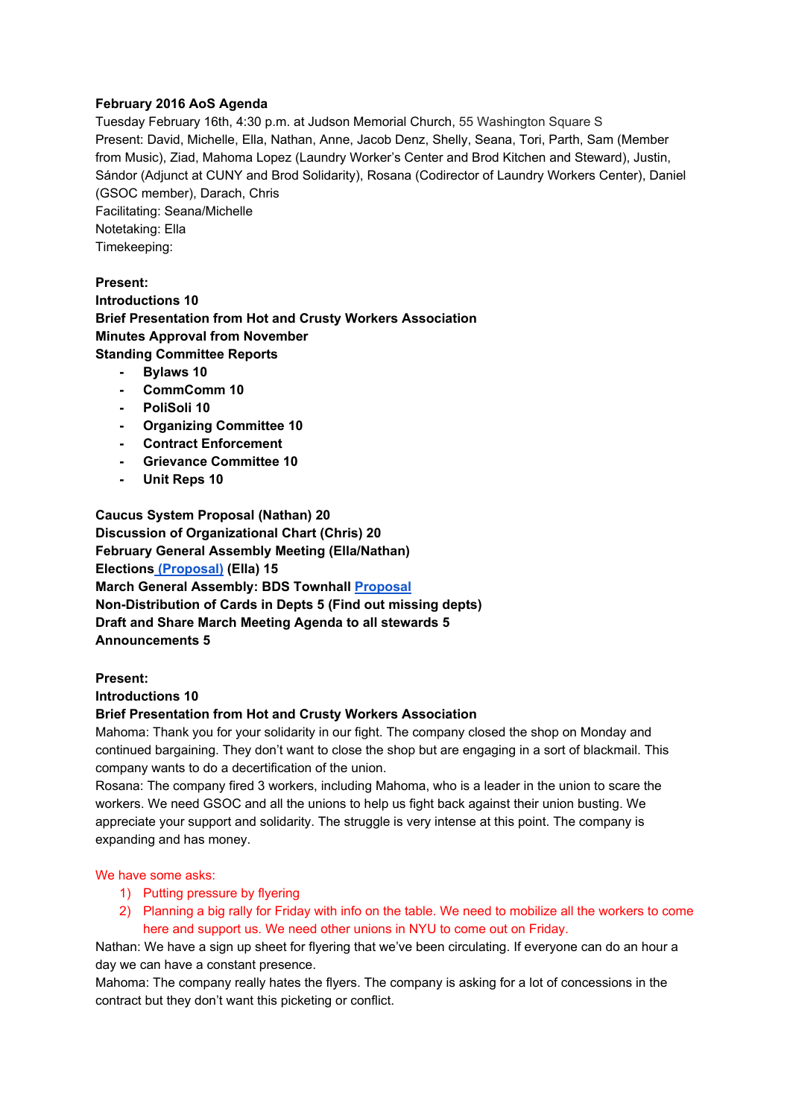## **February 2016 AoS Agenda**

Tuesday February 16th, 4:30 p.m. at Judson Memorial Church, 55 Washington Square S Present: David, Michelle, Ella, Nathan, Anne, Jacob Denz, Shelly, Seana, Tori, Parth, Sam (Member from Music), Ziad, Mahoma Lopez (Laundry Worker's Center and Brod Kitchen and Steward), Justin, Sándor (Adjunct at CUNY and Brod Solidarity), Rosana (Codirector of Laundry Workers Center), Daniel (GSOC member), Darach, Chris Facilitating: Seana/Michelle Notetaking: Ella

Timekeeping:

**Present: Introductions 10 Brief Presentation from Hot and Crusty Workers Association Minutes Approval from November Standing Committee Reports**

- **Bylaws 10**
- **CommComm 10**
- **PoliSoli 10**
- **Organizing Committee 10**
- **Contract Enforcement**
- **Grievance Committee 10**
- **Unit Reps 10**

**Caucus System Proposal (Nathan) 20 Discussion of Organizational Chart (Chris) 20 February General Assembly Meeting (Ella/Nathan) Elections[\(Proposal\)](https://docs.google.com/document/d/1l-3PUx0jYRtk27_oQx3T18hwgXv99mJ1ED-gJN375Po/edit?usp=sharing)(Ella) 15 March General Assembly: BDS Townhall [Proposal](https://docs.google.com/document/d/1bEZ9nz183L1jQ-vF1eFOUKvxJCvXRUJI2xo4e6vHUv4/edit?usp=sharing) Non-Distribution of Cards in Depts 5 (Find out missing depts) Draft and Share March Meeting Agenda to all stewards 5 Announcements 5**

### **Present:**

#### **Introductions 10**

### **Brief Presentation from Hot and Crusty Workers Association**

Mahoma: Thank you for your solidarity in our fight. The company closed the shop on Monday and continued bargaining. They don't want to close the shop but are engaging in a sort of blackmail. This company wants to do a decertification of the union.

Rosana: The company fired 3 workers, including Mahoma, who is a leader in the union to scare the workers. We need GSOC and all the unions to help us fight back against their union busting. We appreciate your support and solidarity. The struggle is very intense at this point. The company is expanding and has money.

#### We have some asks:

- 1) Putting pressure by flyering
- 2) Planning a big rally for Friday with info on the table. We need to mobilize all the workers to come here and support us. We need other unions in NYU to come out on Friday.

Nathan: We have a sign up sheet for flyering that we've been circulating. If everyone can do an hour a day we can have a constant presence.

Mahoma: The company really hates the flyers. The company is asking for a lot of concessions in the contract but they don't want this picketing or conflict.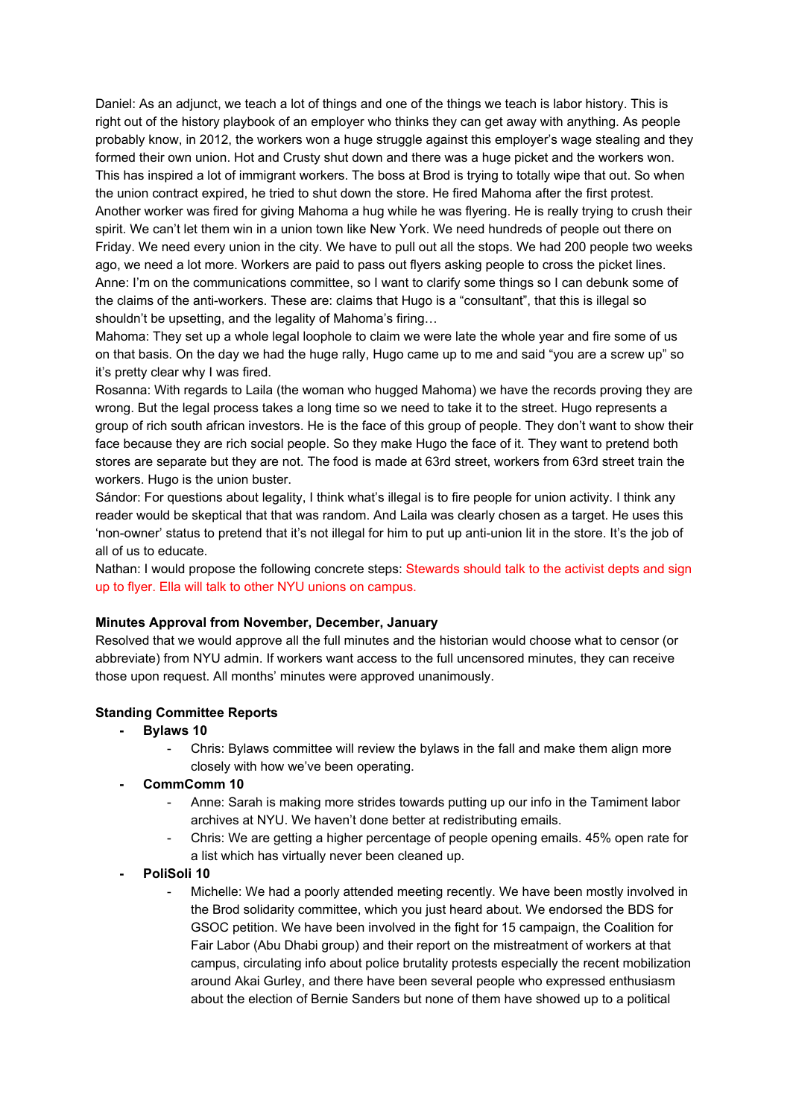Daniel: As an adjunct, we teach a lot of things and one of the things we teach is labor history. This is right out of the history playbook of an employer who thinks they can get away with anything. As people probably know, in 2012, the workers won a huge struggle against this employer's wage stealing and they formed their own union. Hot and Crusty shut down and there was a huge picket and the workers won. This has inspired a lot of immigrant workers. The boss at Brod is trying to totally wipe that out. So when the union contract expired, he tried to shut down the store. He fired Mahoma after the first protest. Another worker was fired for giving Mahoma a hug while he was flyering. He is really trying to crush their spirit. We can't let them win in a union town like New York. We need hundreds of people out there on Friday. We need every union in the city. We have to pull out all the stops. We had 200 people two weeks ago, we need a lot more. Workers are paid to pass out flyers asking people to cross the picket lines. Anne: I'm on the communications committee, so I want to clarify some things so I can debunk some of the claims of the anti-workers. These are: claims that Hugo is a "consultant", that this is illegal so shouldn't be upsetting, and the legality of Mahoma's firing…

Mahoma: They set up a whole legal loophole to claim we were late the whole year and fire some of us on that basis. On the day we had the huge rally, Hugo came up to me and said "you are a screw up" so it's pretty clear why I was fired.

Rosanna: With regards to Laila (the woman who hugged Mahoma) we have the records proving they are wrong. But the legal process takes a long time so we need to take it to the street. Hugo represents a group of rich south african investors. He is the face of this group of people. They don't want to show their face because they are rich social people. So they make Hugo the face of it. They want to pretend both stores are separate but they are not. The food is made at 63rd street, workers from 63rd street train the workers. Hugo is the union buster.

Sándor: For questions about legality, I think what's illegal is to fire people for union activity. I think any reader would be skeptical that that was random. And Laila was clearly chosen as a target. He uses this 'non-owner' status to pretend that it's not illegal for him to put up anti-union lit in the store. It's the job of all of us to educate.

Nathan: I would propose the following concrete steps: Stewards should talk to the activist depts and sign up to flyer. Ella will talk to other NYU unions on campus.

#### **Minutes Approval from November, December, January**

Resolved that we would approve all the full minutes and the historian would choose what to censor (or abbreviate) from NYU admin. If workers want access to the full uncensored minutes, they can receive those upon request. All months' minutes were approved unanimously.

#### **Standing Committee Reports**

- **Bylaws 10**
	- Chris: Bylaws committee will review the bylaws in the fall and make them align more closely with how we've been operating.
- **CommComm 10**
	- Anne: Sarah is making more strides towards putting up our info in the Tamiment labor archives at NYU. We haven't done better at redistributing emails.
	- Chris: We are getting a higher percentage of people opening emails. 45% open rate for a list which has virtually never been cleaned up.
- **PoliSoli 10**
	- Michelle: We had a poorly attended meeting recently. We have been mostly involved in the Brod solidarity committee, which you just heard about. We endorsed the BDS for GSOC petition. We have been involved in the fight for 15 campaign, the Coalition for Fair Labor (Abu Dhabi group) and their report on the mistreatment of workers at that campus, circulating info about police brutality protests especially the recent mobilization around Akai Gurley, and there have been several people who expressed enthusiasm about the election of Bernie Sanders but none of them have showed up to a political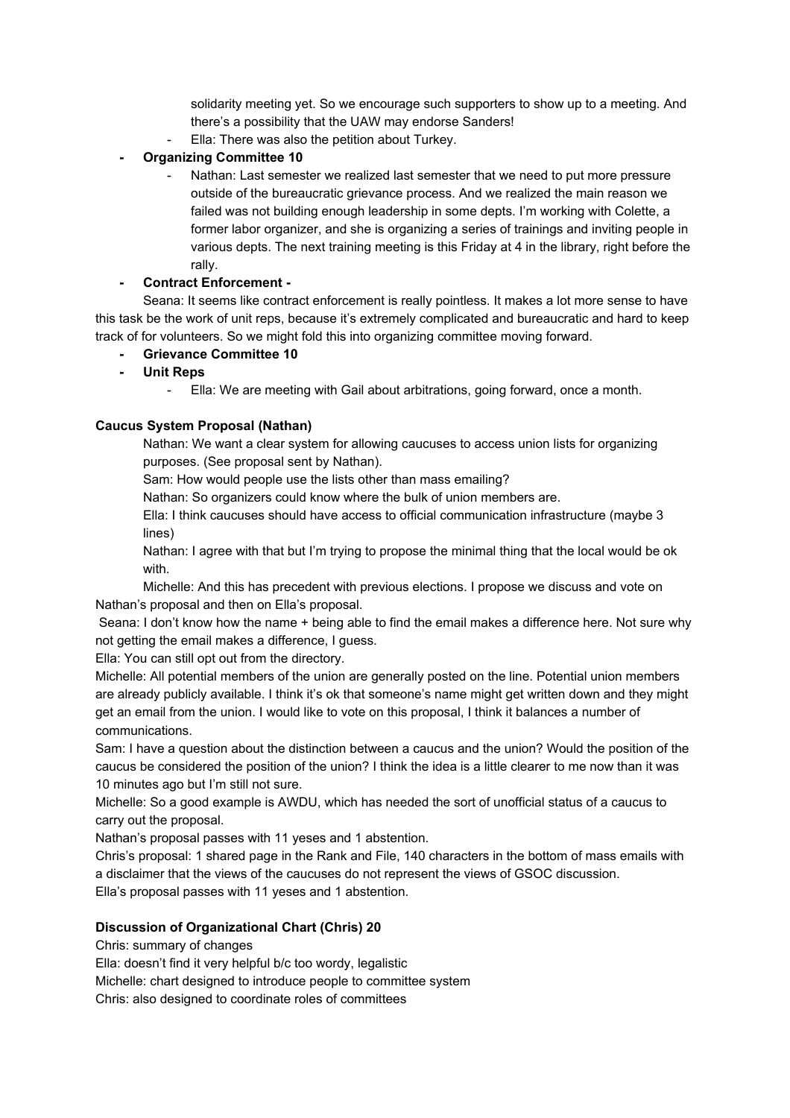solidarity meeting yet. So we encourage such supporters to show up to a meeting. And there's a possibility that the UAW may endorse Sanders! Ella: There was also the petition about Turkey.

- **Organizing Committee 10**
	- Nathan: Last semester we realized last semester that we need to put more pressure outside of the bureaucratic grievance process. And we realized the main reason we failed was not building enough leadership in some depts. I'm working with Colette, a former labor organizer, and she is organizing a series of trainings and inviting people in various depts. The next training meeting is this Friday at 4 in the library, right before the rally.

# **Contract Enforcement**

Seana: It seems like contract enforcement is really pointless. It makes a lot more sense to have this task be the work of unit reps, because it's extremely complicated and bureaucratic and hard to keep track of for volunteers. So we might fold this into organizing committee moving forward.

- **Grievance Committee 10**
- **Unit Reps**
	- Ella: We are meeting with Gail about arbitrations, going forward, once a month.

## **Caucus System Proposal (Nathan)**

Nathan: We want a clear system for allowing caucuses to access union lists for organizing purposes. (See proposal sent by Nathan).

Sam: How would people use the lists other than mass emailing?

Nathan: So organizers could know where the bulk of union members are.

Ella: I think caucuses should have access to official communication infrastructure (maybe 3 lines)

Nathan: I agree with that but I'm trying to propose the minimal thing that the local would be ok with.

Michelle: And this has precedent with previous elections. I propose we discuss and vote on Nathan's proposal and then on Ella's proposal.

Seana: I don't know how the name + being able to find the email makes a difference here. Not sure why not getting the email makes a difference, I guess.

Ella: You can still opt out from the directory.

Michelle: All potential members of the union are generally posted on the line. Potential union members are already publicly available. I think it's ok that someone's name might get written down and they might get an email from the union. I would like to vote on this proposal, I think it balances a number of communications.

Sam: I have a question about the distinction between a caucus and the union? Would the position of the caucus be considered the position of the union? I think the idea is a little clearer to me now than it was 10 minutes ago but I'm still not sure.

Michelle: So a good example is AWDU, which has needed the sort of unofficial status of a caucus to carry out the proposal.

Nathan's proposal passes with 11 yeses and 1 abstention.

Chris's proposal: 1 shared page in the Rank and File, 140 characters in the bottom of mass emails with a disclaimer that the views of the caucuses do not represent the views of GSOC discussion. Ella's proposal passes with 11 yeses and 1 abstention.

### **Discussion of Organizational Chart (Chris) 20**

Chris: summary of changes

Ella: doesn't find it very helpful b/c too wordy, legalistic

Michelle: chart designed to introduce people to committee system

Chris: also designed to coordinate roles of committees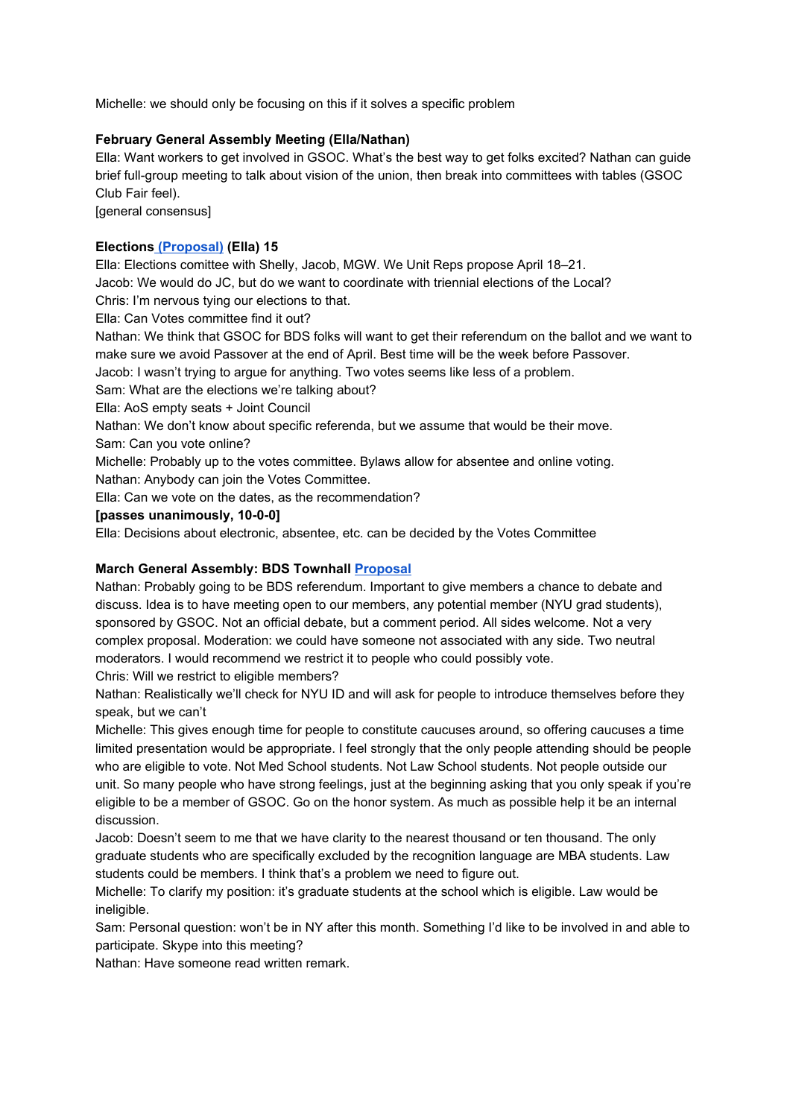Michelle: we should only be focusing on this if it solves a specific problem

## **February General Assembly Meeting (Ella/Nathan)**

Ella: Want workers to get involved in GSOC. What's the best way to get folks excited? Nathan can guide brief full-group meeting to talk about vision of the union, then break into committees with tables (GSOC Club Fair feel).

[general consensus]

## **Elections[\(Proposal\)](https://docs.google.com/document/d/1l-3PUx0jYRtk27_oQx3T18hwgXv99mJ1ED-gJN375Po/edit?usp=sharing)(Ella) 15**

Ella: Elections comittee with Shelly, Jacob, MGW. We Unit Reps propose April 18–21. Jacob: We would do JC, but do we want to coordinate with triennial elections of the Local?

Chris: I'm nervous tying our elections to that.

Ella: Can Votes committee find it out?

Nathan: We think that GSOC for BDS folks will want to get their referendum on the ballot and we want to make sure we avoid Passover at the end of April. Best time will be the week before Passover.

Jacob: I wasn't trying to argue for anything. Two votes seems like less of a problem.

Sam: What are the elections we're talking about?

Ella: AoS empty seats + Joint Council

Nathan: We don't know about specific referenda, but we assume that would be their move. Sam: Can you vote online?

Michelle: Probably up to the votes committee. Bylaws allow for absentee and online voting. Nathan: Anybody can join the Votes Committee.

Ella: Can we vote on the dates, as the recommendation?

## **[passes unanimously, 10-0-0]**

Ella: Decisions about electronic, absentee, etc. can be decided by the Votes Committee

# **March General Assembly: BDS Townhall [Proposal](https://docs.google.com/document/d/1bEZ9nz183L1jQ-vF1eFOUKvxJCvXRUJI2xo4e6vHUv4/edit?usp=sharing)**

Nathan: Probably going to be BDS referendum. Important to give members a chance to debate and discuss. Idea is to have meeting open to our members, any potential member (NYU grad students), sponsored by GSOC. Not an official debate, but a comment period. All sides welcome. Not a very complex proposal. Moderation: we could have someone not associated with any side. Two neutral moderators. I would recommend we restrict it to people who could possibly vote.

Chris: Will we restrict to eligible members?

Nathan: Realistically we'll check for NYU ID and will ask for people to introduce themselves before they speak, but we can't

Michelle: This gives enough time for people to constitute caucuses around, so offering caucuses a time limited presentation would be appropriate. I feel strongly that the only people attending should be people who are eligible to vote. Not Med School students. Not Law School students. Not people outside our unit. So many people who have strong feelings, just at the beginning asking that you only speak if you're eligible to be a member of GSOC. Go on the honor system. As much as possible help it be an internal discussion.

Jacob: Doesn't seem to me that we have clarity to the nearest thousand or ten thousand. The only graduate students who are specifically excluded by the recognition language are MBA students. Law students could be members. I think that's a problem we need to figure out.

Michelle: To clarify my position: it's graduate students at the school which is eligible. Law would be ineligible.

Sam: Personal question: won't be in NY after this month. Something I'd like to be involved in and able to participate. Skype into this meeting?

Nathan: Have someone read written remark.